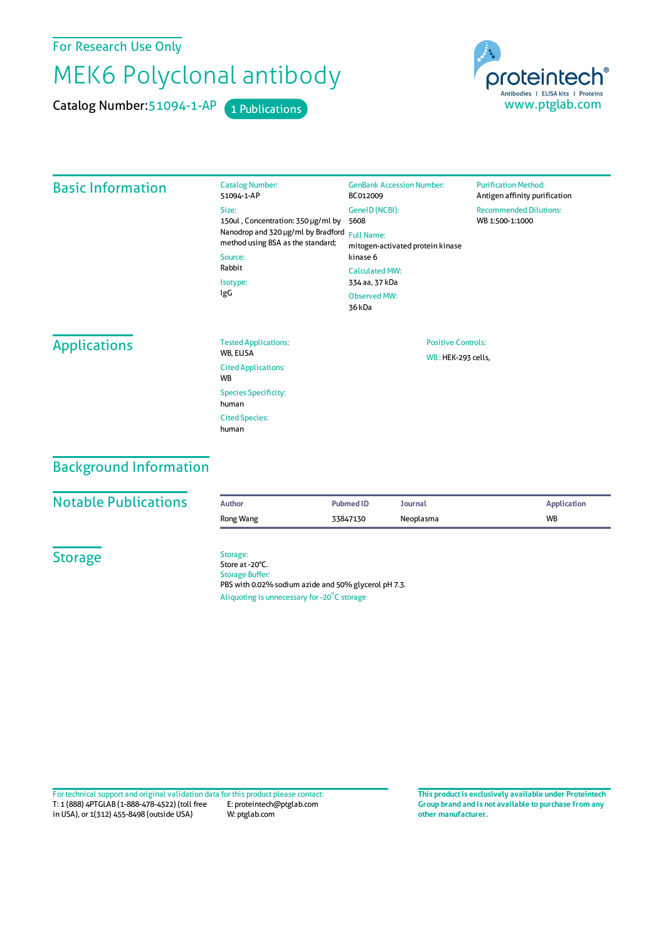For Research Use Only

## MEK6 Polyclonal antibody

Catalog Number: 51094-1-AP 1 Publications



| <b>Basic Information</b> | <b>Catalog Number:</b><br>51094-1-AP                                                                                                                           | <b>GenBank Accession Number:</b><br>BC012009                                                                                                                            | <b>Purification Method:</b><br>Antigen affinity purification |  |
|--------------------------|----------------------------------------------------------------------------------------------------------------------------------------------------------------|-------------------------------------------------------------------------------------------------------------------------------------------------------------------------|--------------------------------------------------------------|--|
|                          | Size:<br>150ul, Concentration: 350 µg/ml by<br>Nanodrop and 320 µg/ml by Bradford<br>method using BSA as the standard;<br>Source:<br>Rabbit<br>Isotype:<br>IgG | GeneID (NCBI):<br>5608<br><b>Full Name:</b><br>mitogen-activated protein kinase<br>kinase 6<br><b>Calculated MW:</b><br>334 aa, 37 kDa<br><b>Observed MW:</b><br>36 kDa | <b>Recommended Dilutions:</b><br>WB 1:500-1:1000             |  |
| <b>Applications</b>      | <b>Tested Applications:</b><br>WB, ELISA                                                                                                                       | <b>Positive Controls:</b><br>WB: HEK-293 cells,                                                                                                                         |                                                              |  |
|                          | <b>Cited Applications:</b><br>WB                                                                                                                               |                                                                                                                                                                         |                                                              |  |
|                          | <b>Species Specificity:</b><br>human                                                                                                                           |                                                                                                                                                                         |                                                              |  |
|                          | <b>Cited Species:</b><br>human                                                                                                                                 |                                                                                                                                                                         |                                                              |  |
|                          |                                                                                                                                                                |                                                                                                                                                                         |                                                              |  |

## Background Information

| <b>Notable Publications</b> | <b>Author</b>                                                                  | <b>Pubmed ID</b> | Journal   | <b>Application</b> |  |
|-----------------------------|--------------------------------------------------------------------------------|------------------|-----------|--------------------|--|
|                             | Rong Wang                                                                      | 33847130         | Neoplasma | <b>WB</b>          |  |
| <b>Storage</b>              | Storage:<br>Store at -20°C.                                                    |                  |           |                    |  |
|                             | <b>Storage Buffer:</b><br>PBS with 0.02% sodium azide and 50% glycerol pH 7.3. |                  |           |                    |  |
|                             | Aliquoting is unnecessary for -20°C storage                                    |                  |           |                    |  |

T: 1 (888) 4PTGLAB (1-888-478-4522) (toll free in USA), or 1(312) 455-8498 (outside USA) E: proteintech@ptglab.com W: ptglab.com Fortechnical support and original validation data forthis product please contact: **This productis exclusively available under Proteintech**

**Group brand and is not available to purchase from any other manufacturer.**